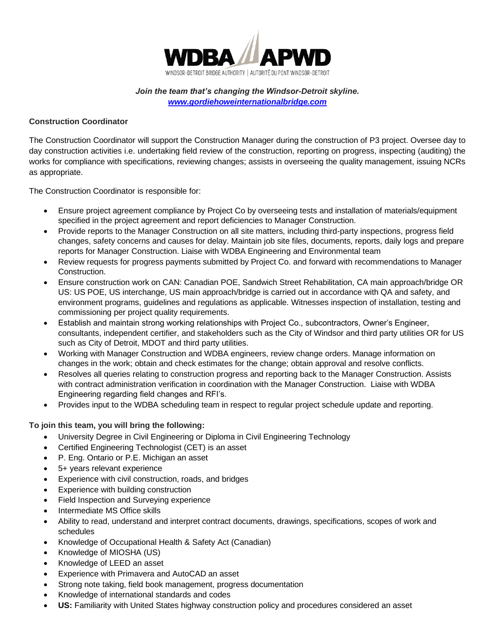

*Join the team that's changing the Windsor-Detroit skyline. [www.gordiehoweinternationalbridge.com](http://www.wdbridge.com/)*

## **Construction Coordinator**

The Construction Coordinator will support the Construction Manager during the construction of P3 project. Oversee day to day construction activities i.e. undertaking field review of the construction, reporting on progress, inspecting (auditing) the works for compliance with specifications, reviewing changes; assists in overseeing the quality management, issuing NCRs as appropriate.

The Construction Coordinator is responsible for:

- Ensure project agreement compliance by Project Co by overseeing tests and installation of materials/equipment specified in the project agreement and report deficiencies to Manager Construction.
- Provide reports to the Manager Construction on all site matters, including third-party inspections, progress field changes, safety concerns and causes for delay. Maintain job site files, documents, reports, daily logs and prepare reports for Manager Construction. Liaise with WDBA Engineering and Environmental team
- Review requests for progress payments submitted by Project Co. and forward with recommendations to Manager Construction.
- Ensure construction work on CAN: Canadian POE, Sandwich Street Rehabilitation, CA main approach/bridge OR US: US POE, US interchange, US main approach/bridge is carried out in accordance with QA and safety, and environment programs, guidelines and regulations as applicable. Witnesses inspection of installation, testing and commissioning per project quality requirements.
- Establish and maintain strong working relationships with Project Co., subcontractors, Owner's Engineer, consultants, independent certifier, and stakeholders such as the City of Windsor and third party utilities OR for US such as City of Detroit, MDOT and third party utilities.
- Working with Manager Construction and WDBA engineers, review change orders. Manage information on changes in the work; obtain and check estimates for the change; obtain approval and resolve conflicts.
- Resolves all queries relating to construction progress and reporting back to the Manager Construction. Assists with contract administration verification in coordination with the Manager Construction. Liaise with WDBA Engineering regarding field changes and RFI's.
- Provides input to the WDBA scheduling team in respect to regular project schedule update and reporting.

## **To join this team, you will bring the following:**

- University Degree in Civil Engineering or Diploma in Civil Engineering Technology
- Certified Engineering Technologist (CET) is an asset
- P. Eng. Ontario or P.E. Michigan an asset
- 5+ years relevant experience
- Experience with civil construction, roads, and bridges
- Experience with building construction
- Field Inspection and Surveying experience
- Intermediate MS Office skills
- Ability to read, understand and interpret contract documents, drawings, specifications, scopes of work and schedules
- Knowledge of Occupational Health & Safety Act (Canadian)
- Knowledge of MIOSHA (US)
- Knowledge of LEED an asset
- Experience with Primavera and AutoCAD an asset
- Strong note taking, field book management, progress documentation
- Knowledge of international standards and codes
- **US:** Familiarity with United States highway construction policy and procedures considered an asset